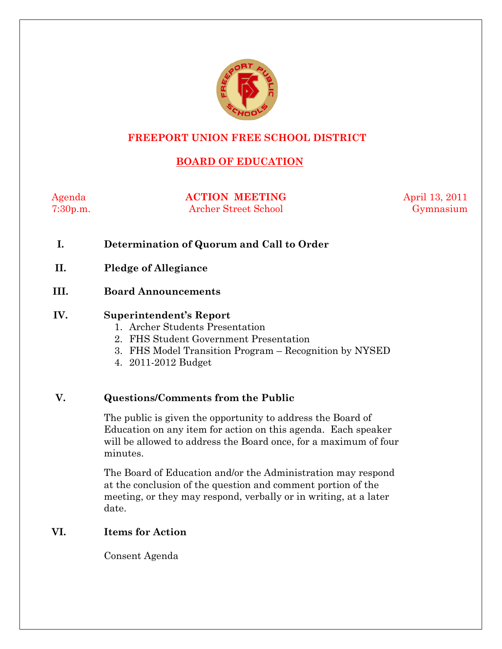

## **FREEPORT UNION FREE SCHOOL DISTRICT**

# **BOARD OF EDUCATION**

Agenda **ACTION MEETING** April 13, 2011 7:30p.m. Archer Street School Gymnasium

- **I. Determination of Quorum and Call to Order**
- **II. Pledge of Allegiance**
- **III. Board Announcements**

#### **IV. Superintendent's Report**

- 1. Archer Students Presentation
- 2. FHS Student Government Presentation
- 3. FHS Model Transition Program Recognition by NYSED
- 4. 2011-2012 Budget

### **V. Questions/Comments from the Public**

The public is given the opportunity to address the Board of Education on any item for action on this agenda. Each speaker will be allowed to address the Board once, for a maximum of four minutes.

The Board of Education and/or the Administration may respond at the conclusion of the question and comment portion of the meeting, or they may respond, verbally or in writing, at a later date.

#### **VI. Items for Action**

Consent Agenda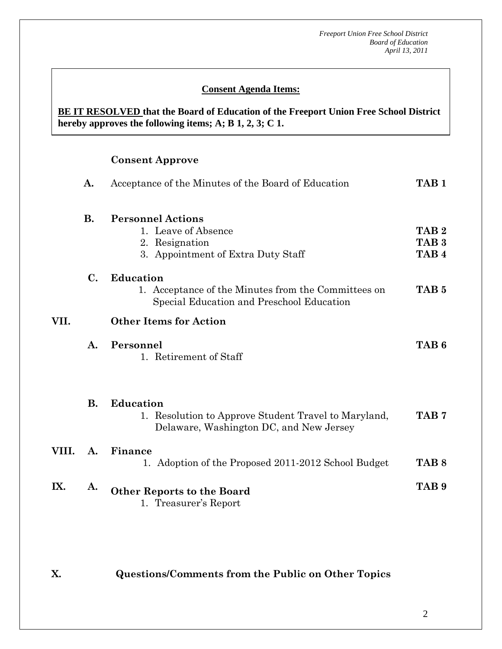### **Consent Agenda Items:**

### **BE IT RESOLVED that the Board of Education of the Freeport Union Free School District hereby approves the following items; A; B 1, 2, 3; C 1.**

## **Consent Approve**

 *Acceptance of the Minutes*  $\mathbf{A}$ 

 **AA. Consent - Approve** 

|       | A.        | Acceptance of the Minutes of the Board of Education                                                                  | TAB <sub>1</sub>                                         |
|-------|-----------|----------------------------------------------------------------------------------------------------------------------|----------------------------------------------------------|
|       | <b>B.</b> | <b>Personnel Actions</b><br>1. Leave of Absence<br>2. Resignation<br>3. Appointment of Extra Duty Staff              | TAB <sub>2</sub><br>TAB <sub>3</sub><br>TAB <sub>4</sub> |
|       | C.        | <b>Education</b><br>1. Acceptance of the Minutes from the Committees on<br>Special Education and Preschool Education | TAB <sub>5</sub>                                         |
| VII.  |           | <b>Other Items for Action</b>                                                                                        |                                                          |
|       | A.        | Personnel<br>1. Retirement of Staff                                                                                  | TAB <sub>6</sub>                                         |
|       | <b>B.</b> | <b>Education</b><br>1. Resolution to Approve Student Travel to Maryland,<br>Delaware, Washington DC, and New Jersey  | TAB <sub>7</sub>                                         |
| VIII. | A.        | Finance<br>1. Adoption of the Proposed 2011-2012 School Budget                                                       | TAB <sub>8</sub>                                         |
| IX.   | A.        | <b>Other Reports to the Board</b><br>1. Treasurer's Report                                                           | TAB <sub>9</sub>                                         |

**X. Questions/Comments from the Public on Other Topics**